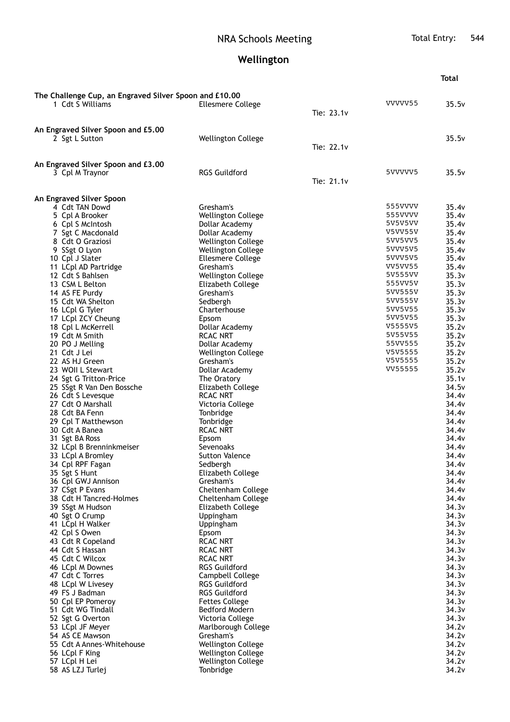## NRA Schools Meeting Total Entry: 544

## **Wellington**

|                                                                            |                                          |            |                    | <b>Total</b>               |
|----------------------------------------------------------------------------|------------------------------------------|------------|--------------------|----------------------------|
|                                                                            |                                          |            |                    |                            |
| The Challenge Cup, an Engraved Silver Spoon and £10.00<br>1 Cdt S Williams | <b>Ellesmere College</b>                 |            | VVVVV55            | 35.5v                      |
|                                                                            |                                          | Tie: 23.1v |                    |                            |
|                                                                            |                                          |            |                    |                            |
| An Engraved Silver Spoon and £5.00<br>2 Sgt L Sutton                       | <b>Wellington College</b>                |            |                    | 35.5v                      |
|                                                                            |                                          | Tie: 22.1v |                    |                            |
|                                                                            |                                          |            |                    |                            |
| An Engraved Silver Spoon and £3.00                                         |                                          |            |                    |                            |
| 3 Cpl M Traynor                                                            | <b>RGS Guildford</b>                     | Tie: 21.1v | 5VVVVV5            | 35.5v                      |
|                                                                            |                                          |            |                    |                            |
| An Engraved Silver Spoon                                                   |                                          |            |                    |                            |
| 4 Cdt TAN Dowd                                                             | Gresham's                                |            | 555VVVV            | 35.4v                      |
| 5 Cpl A Brooker                                                            | Wellington College                       |            | 555VVVV<br>5V5V5VV | 35.4v<br>35.4v             |
| 6 Cpl S McIntosh<br>7 Sgt C Macdonald                                      | Dollar Academy<br>Dollar Academy         |            | V5VV55V            | 35.4v                      |
| 8 Cdt O Graziosi                                                           | <b>Wellington College</b>                |            | 5VV5VV5            | 35.4v                      |
| 9 SSgt O Lyon                                                              | Wellington College                       |            | 5VVV5V5            | 35.4v                      |
| 10 Cpl J Slater                                                            | <b>Ellesmere College</b>                 |            | 5VVV5V5            | 35.4v                      |
| 11 LCpl AD Partridge                                                       | Gresham's                                |            | VV5VV55            | 35.4v                      |
| 12 Cdt S Bahlsen                                                           | Wellington College                       |            | 5V555VV            | 35.3v                      |
| 13 CSM L Belton<br>14 AS FE Purdy                                          | Elizabeth College<br>Gresham's           |            | 555VV5V<br>5VV555V | 35.3v<br>35.3v             |
| 15 Cdt WA Shelton                                                          | Sedbergh                                 |            | 5VV555V            | 35.3v                      |
| 16 LCpl G Tyler                                                            | Charterhouse                             |            | 5VV5V55            | 35.3v                      |
| 17 LCpl ZCY Cheung                                                         | Epsom                                    |            | 5VV5V55            | 35.3v                      |
| 18 Cpl L McKerrell                                                         | Dollar Academy                           |            | V5555V5            | 35.2v                      |
| 19 Cdt M Smith                                                             | <b>RCAC NRT</b>                          |            | 5V55V55            | 35.2v                      |
| 20 PO J Melling                                                            | Dollar Academy                           |            | 55VV555            | 35.2v                      |
| 21 Cdt J Lei<br>22 AS HJ Green                                             | Wellington College<br>Gresham's          |            | V5V5555<br>V5V5555 | 35.2v<br>35.2v             |
| 23 WOII L Stewart                                                          | Dollar Academy                           |            | VV55555            | 35.2v                      |
| 24 Sgt G Tritton-Price                                                     | The Oratory                              |            |                    | 35.1v                      |
| 25 SSgt R Van Den Bossche                                                  | Elizabeth College                        |            |                    | 34.5v                      |
| 26 Cdt S Levesque                                                          | <b>RCAC NRT</b>                          |            |                    | 34.4v                      |
| 27 Cdt O Marshall                                                          | Victoria College                         |            |                    | 34.4v                      |
| 28 Cdt BA Fenn                                                             | Tonbridge                                |            |                    | 34.4v                      |
| 29 Cpl T Matthewson<br>30 Cdt A Banea                                      | Tonbridge<br>RCAC NRT                    |            |                    | 34.4v<br>34.4v             |
| 31 Sgt BA Ross                                                             | Epsom                                    |            |                    | 34.4v                      |
| 32 LCpl B Brenninkmeiser                                                   | Sevenoaks                                |            |                    | 34.4 <sub>v</sub>          |
| 33 LCpl A Bromley                                                          | Sutton Valence                           |            |                    | 34.4v                      |
| 34 Cpl RPF Fagan                                                           | Sedbergh                                 |            |                    | 34.4v                      |
| 35 Sgt S Hunt                                                              | Elizabeth College                        |            |                    | 34.4v                      |
| 36 Cpl GWJ Annison                                                         | Gresham's                                |            |                    | 34.4v                      |
| 37 CSgt P Evans<br>38 Cdt H Tancred-Holmes                                 | Cheltenham College<br>Cheltenham College |            |                    | 34.4v<br>34.4 <sub>v</sub> |
| 39 SSgt M Hudson                                                           | Elizabeth College                        |            |                    | 34.3v                      |
| 40 Sgt O Crump                                                             | Uppingham                                |            |                    | 34.3v                      |
| 41 LCpl H Walker                                                           | Uppingham                                |            |                    | 34.3v                      |
| 42 Cpl S Owen                                                              | Epsom                                    |            |                    | 34.3v                      |
| 43 Cdt R Copeland                                                          | RCAC NRT                                 |            |                    | 34.3v                      |
| 44 Cdt S Hassan                                                            | RCAC NRT                                 |            |                    | 34.3v                      |
| 45 Cdt C Wilcox<br>46 LCpl M Downes                                        | <b>RCAC NRT</b><br>RGS Guildford         |            |                    | 34.3v<br>34.3v             |
| 47 Cdt C Torres                                                            | Campbell College                         |            |                    | 34.3v                      |
| 48 LCpl W Livesey                                                          | <b>RGS Guildford</b>                     |            |                    | 34.3v                      |
| 49 FS J Badman                                                             | <b>RGS Guildford</b>                     |            |                    | 34.3v                      |
| 50 Cpl EP Pomeroy                                                          | <b>Fettes College</b>                    |            |                    | 34.3v                      |
| 51 Cdt WG Tindall                                                          | Bedford Modern                           |            |                    | 34.3v                      |
| 52 Sgt G Overton                                                           | Victoria College                         |            |                    | 34.3v                      |
| 53 LCpl JF Meyer<br>54 AS CE Mawson                                        | Marlborough College<br>Gresham's         |            |                    | 34.2v<br>34.2v             |
| 55 Cdt A Annes-Whitehouse                                                  | <b>Wellington College</b>                |            |                    | 34.2v                      |
| 56 LCpl F King                                                             | <b>Wellington College</b>                |            |                    | 34.2v                      |
| 57 LCpl H Lei                                                              | Wellington College                       |            |                    | 34.2v                      |
| 58 AS LZJ Turlej                                                           | Tonbridge                                |            |                    | 34.2v                      |